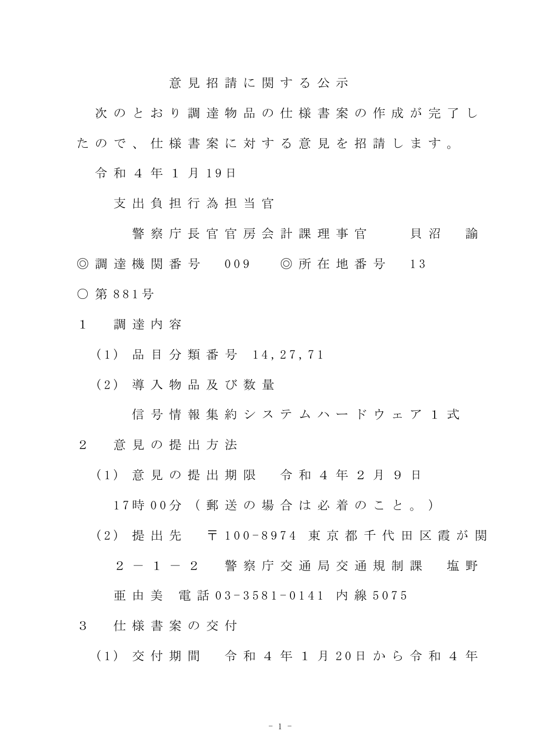意 見 招 請 に 関 す る 公 示

次 の と お り 調 達 物 品 の 仕 様 書 案 の 作 成 が 完 了 し た の で 、 仕 様 書 案 に 対 す る 意 見 を 招 請 し ま す 。

令和 4年 1 月 19日

支 出 負 担 行 為 担 当 官

警 察 庁 長 官 官 房 会 計 課 理 事 官 て て 貝 沼 て 諭 ◎ 調 達 機 関 番 号 009 ◎ 所 在 地 番 号 13 ○ 第 8 8 1 号

1 調 達 内 容

(1) 品目分類番号 14, 27, 71

( 2 ) 導 入 物 品 及 び 数 量

信 号 情 報 集 約 シ ス テ ム ハ ー ド ウ ェ ア 1 式

2 意 見 の 提 出 方 法

( 1 ) 意 見 の 提 出 期 限 令 和 4 年 2 月 9 日

1 7 時 0 0 分 ( 郵 送 の 場 合 は 必 着 の こ と 。 )

( 2 ) 提 出 先 〒 1 0 0 - 8 9 7 4 東 京 都 千 代 田 区 霞 が 関

2 - 1 - 2 警 察 庁 交 通 局 交 通 規 制 課 塩 野

亜 由 美 電 話 0 3 - 3 5 8 1 - 0 1 4 1 内 線 5 0 7 5

3 仕 様 書 案 の 交 付

( 1 ) 交 付 期 間 令 和 4 年 1 月 2 0 日 か ら 令 和 4 年